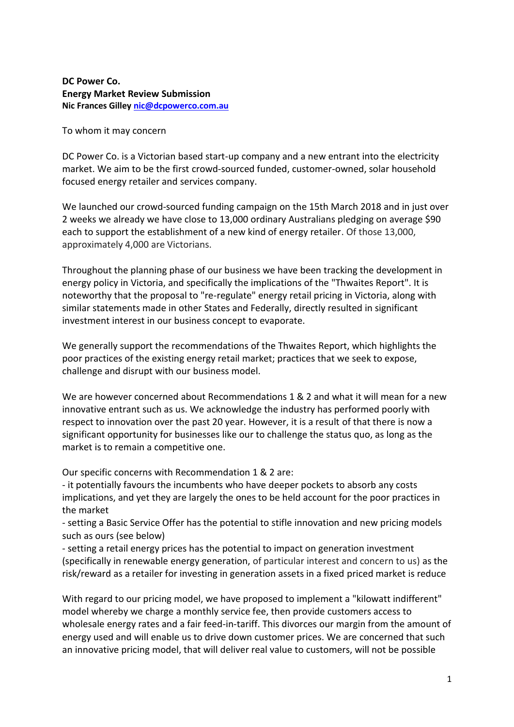**DC Power Co. Energy Market Review Submission Nic Frances Gille[y nic@dcpowerco.com.au](mailto:nic@dcpowerco.com.au)**

To whom it may concern

DC Power Co. is a Victorian based start-up company and a new entrant into the electricity market. We aim to be the first crowd-sourced funded, customer-owned, solar household focused energy retailer and services company.

We launched our crowd-sourced funding campaign on the 15th March 2018 and in just over 2 weeks we already we have close to 13,000 ordinary Australians pledging on average \$90 each to support the establishment of a new kind of energy retailer. Of those 13,000, approximately 4,000 are Victorians.

Throughout the planning phase of our business we have been tracking the development in energy policy in Victoria, and specifically the implications of the "Thwaites Report". It is noteworthy that the proposal to "re-regulate" energy retail pricing in Victoria, along with similar statements made in other States and Federally, directly resulted in significant investment interest in our business concept to evaporate.

We generally support the recommendations of the Thwaites Report, which highlights the poor practices of the existing energy retail market; practices that we seek to expose, challenge and disrupt with our business model.

We are however concerned about Recommendations 1 & 2 and what it will mean for a new innovative entrant such as us. We acknowledge the industry has performed poorly with respect to innovation over the past 20 year. However, it is a result of that there is now a significant opportunity for businesses like our to challenge the status quo, as long as the market is to remain a competitive one.

Our specific concerns with Recommendation 1 & 2 are:

- it potentially favours the incumbents who have deeper pockets to absorb any costs implications, and yet they are largely the ones to be held account for the poor practices in the market

- setting a Basic Service Offer has the potential to stifle innovation and new pricing models such as ours (see below)

- setting a retail energy prices has the potential to impact on generation investment (specifically in renewable energy generation, of particular interest and concern to us) as the risk/reward as a retailer for investing in generation assets in a fixed priced market is reduce

With regard to our pricing model, we have proposed to implement a "kilowatt indifferent" model whereby we charge a monthly service fee, then provide customers access to wholesale energy rates and a fair feed-in-tariff. This divorces our margin from the amount of energy used and will enable us to drive down customer prices. We are concerned that such an innovative pricing model, that will deliver real value to customers, will not be possible